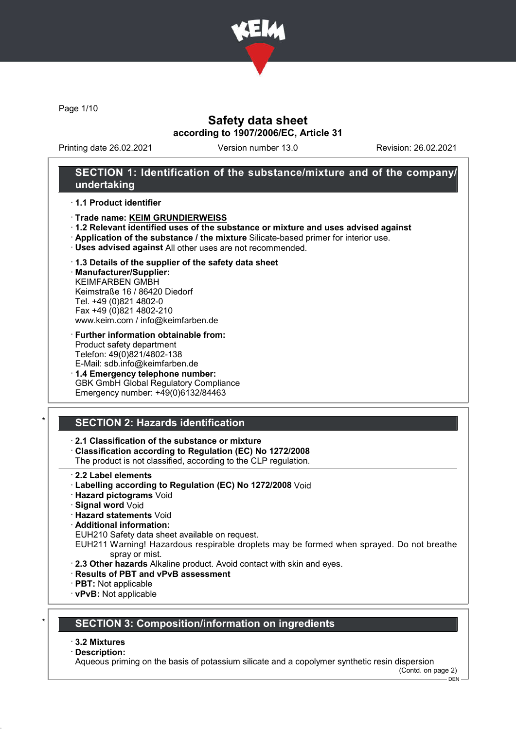

Page 1/10

## Safety data sheet according to 1907/2006/EC, Article 31

Printing date 26.02.2021 Version number 13.0 Revision: 26.02.2021

### SECTION 1: Identification of the substance/mixture and of the company/ undertaking

#### · 1.1 Product identifier

- · Trade name: KEIM GRUNDIERWEISS
- · 1.2 Relevant identified uses of the substance or mixture and uses advised against
- · Application of the substance / the mixture Silicate-based primer for interior use.
- · Uses advised against All other uses are not recommended.

#### · 1.3 Details of the supplier of the safety data sheet

· Manufacturer/Supplier: KEIMFARBEN GMBH Keimstraße 16 / 86420 Diedorf Tel. +49 (0)821 4802-0 Fax +49 (0)821 4802-210 www.keim.com / info@keimfarben.de

- · Further information obtainable from: Product safety department Telefon: 49(0)821/4802-138 E-Mail: sdb.info@keimfarben.de
- · 1.4 Emergency telephone number: GBK GmbH Global Regulatory Compliance Emergency number: +49(0)6132/84463

# **SECTION 2: Hazards identification**

### · 2.1 Classification of the substance or mixture

· Classification according to Regulation (EC) No 1272/2008

The product is not classified, according to the CLP regulation.

- 2.2 Label elements
- · Labelling according to Regulation (EC) No 1272/2008 Void
- · Hazard pictograms Void
- · Signal word Void
- · Hazard statements Void
- · Additional information:

EUH210 Safety data sheet available on request.

- EUH211 Warning! Hazardous respirable droplets may be formed when sprayed. Do not breathe spray or mist.
- · 2.3 Other hazards Alkaline product. Avoid contact with skin and eyes.
- · Results of PBT and vPvB assessment
- · PBT: Not applicable
- · vPvB: Not applicable

# **SECTION 3: Composition/information on ingredients**

#### · 3.2 Mixtures

#### · Description:

Aqueous priming on the basis of potassium silicate and a copolymer synthetic resin dispersion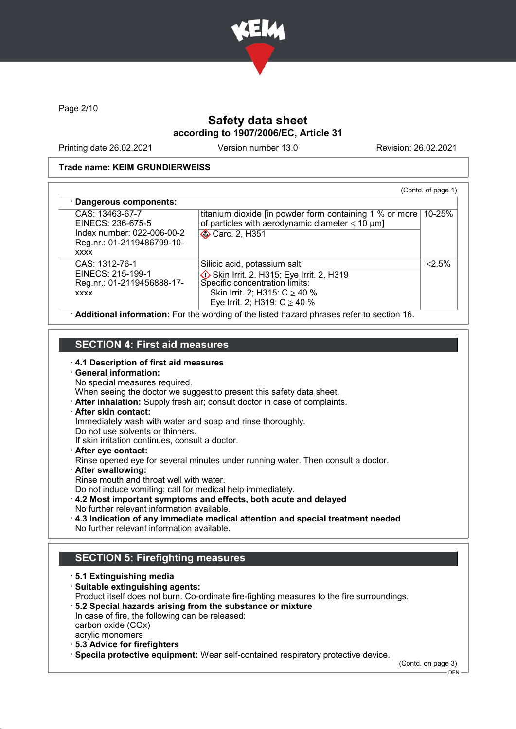

Page 2/10

# Safety data sheet according to 1907/2006/EC, Article 31

Printing date 26.02.2021 Version number 13.0 Revision: 26.02.2021

#### Trade name: KEIM GRUNDIERWEISS

| CAS: 13463-67-7<br>EINECS: 236-675-5                                             | titanium dioxide [in powder form containing 1 % or more]<br>of particles with aerodynamic diameter $\leq 10 \ \mu m$ ]                                                             | 10-25%    |
|----------------------------------------------------------------------------------|------------------------------------------------------------------------------------------------------------------------------------------------------------------------------------|-----------|
| Index number: 022-006-00-2<br>Reg.nr.: 01-2119486799-10-<br><b>XXXX</b>          | <b>◆ Carc. 2, H351</b>                                                                                                                                                             |           |
| CAS: 1312-76-1<br>EINECS: 215-199-1<br>Reg.nr.: 01-2119456888-17-<br><b>XXXX</b> | Silicic acid, potassium salt<br>Skin Irrit. 2, H315; Eye Irrit. 2, H319<br>Specific concentration limits:<br>Skin Irrit. 2; H315: $C \ge 40$ %<br>Eye Irrit. 2; H319: $C \ge 40$ % | $< 2.5\%$ |

### SECTION 4: First aid measures

- · 4.1 Description of first aid measures
- · General information:
- No special measures required.
- When seeing the doctor we suggest to present this safety data sheet.
- · After inhalation: Supply fresh air; consult doctor in case of complaints.
- · After skin contact:
- Immediately wash with water and soap and rinse thoroughly.
- Do not use solvents or thinners.
- If skin irritation continues, consult a doctor.
- · After eye contact:
- Rinse opened eye for several minutes under running water. Then consult a doctor.
- · After swallowing:
- Rinse mouth and throat well with water.
- Do not induce vomiting; call for medical help immediately.
- · 4.2 Most important symptoms and effects, both acute and delayed No further relevant information available.
- · 4.3 Indication of any immediate medical attention and special treatment needed No further relevant information available.

# SECTION 5: Firefighting measures

- · 5.1 Extinguishing media · Suitable extinguishing agents: Product itself does not burn. Co-ordinate fire-fighting measures to the fire surroundings. · 5.2 Special hazards arising from the substance or mixture In case of fire, the following can be released: carbon oxide (COx) acrylic monomers · 5.3 Advice for firefighters · Specila protective equipment: Wear self-contained respiratory protective device.
	-

(Contd. on page 3)

 $-$  DEN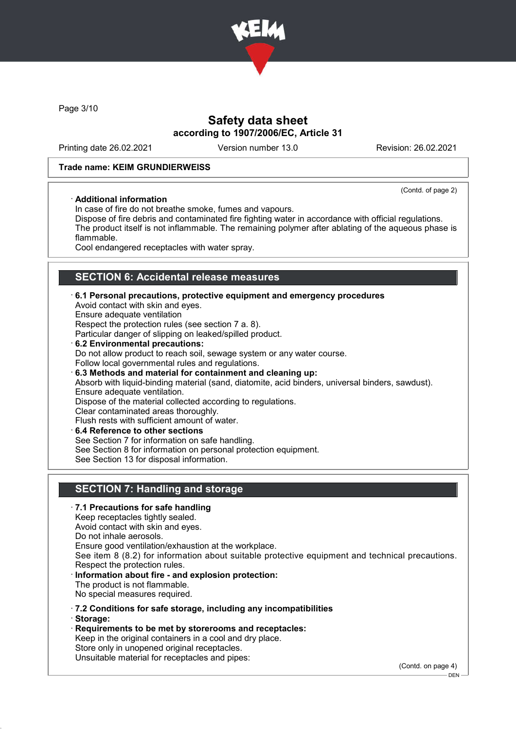

Page 3/10

## Safety data sheet according to 1907/2006/EC, Article 31

Printing date 26.02.2021 Version number 13.0 Revision: 26.02.2021

(Contd. of page 2)

#### Trade name: KEIM GRUNDIERWEISS

#### · Additional information

In case of fire do not breathe smoke, fumes and vapours.

Dispose of fire debris and contaminated fire fighting water in accordance with official regulations. The product itself is not inflammable. The remaining polymer after ablating of the aqueous phase is flammable.

Cool endangered receptacles with water spray.

# **SECTION 6: Accidental release measures**

· 6.1 Personal precautions, protective equipment and emergency procedures Avoid contact with skin and eyes. Ensure adequate ventilation Respect the protection rules (see section 7 a. 8). Particular danger of slipping on leaked/spilled product. 6.2 Environmental precautions: Do not allow product to reach soil, sewage system or any water course. Follow local governmental rules and regulations. · 6.3 Methods and material for containment and cleaning up: Absorb with liquid-binding material (sand, diatomite, acid binders, universal binders, sawdust). Ensure adequate ventilation. Dispose of the material collected according to regulations. Clear contaminated areas thoroughly. Flush rests with sufficient amount of water. 6.4 Reference to other sections

See Section 7 for information on safe handling.

See Section 8 for information on personal protection equipment.

See Section 13 for disposal information.

### SECTION 7: Handling and storage

#### · 7.1 Precautions for safe handling Keep receptacles tightly sealed. Avoid contact with skin and eyes. Do not inhale aerosols. Ensure good ventilation/exhaustion at the workplace. See item 8 (8.2) for information about suitable protective equipment and technical precautions. Respect the protection rules. · Information about fire - and explosion protection: The product is not flammable. No special measures required. · 7.2 Conditions for safe storage, including any incompatibilities · Storage: · Requirements to be met by storerooms and receptacles:

Keep in the original containers in a cool and dry place. Store only in unopened original receptacles. Unsuitable material for receptacles and pipes:

(Contd. on page 4)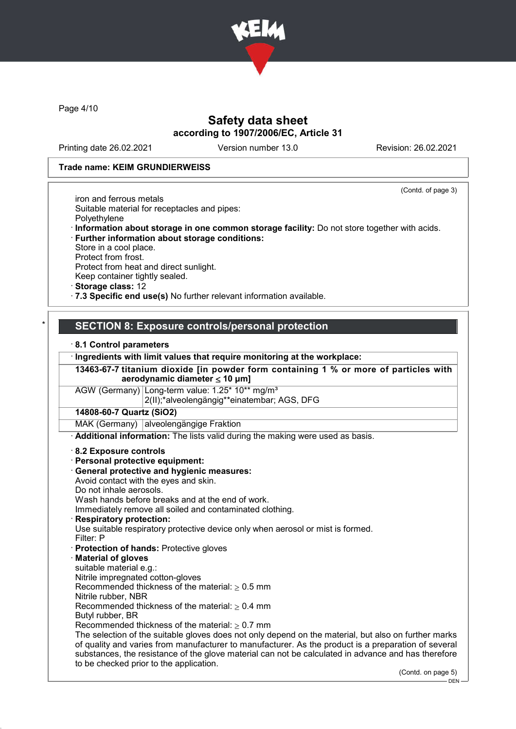

Page 4/10

### Safety data sheet according to 1907/2006/EC, Article 31

Printing date 26.02.2021 Version number 13.0 Revision: 26.02.2021

#### Trade name: KEIM GRUNDIERWEISS

(Contd. of page 3)

iron and ferrous metals Suitable material for receptacles and pipes: Polyethylene · Information about storage in one common storage facility: Do not store together with acids. · Further information about storage conditions: Store in a cool place.

Protect from frost.

Protect from heat and direct sunlight.

Keep container tightly sealed.

· Storage class: 12

· 7.3 Specific end use(s) No further relevant information available.

### SECTION 8: Exposure controls/personal protection

· 8.1 Control parameters

· Ingredients with limit values that require monitoring at the workplace:

13463-67-7 titanium dioxide [in powder form containing 1 % or more of particles with aerodynamic diameter ≤ 10 uml

AGW (Germany) Long-term value: 1.25\* 10\*\* mg/m<sup>3</sup> 2(II);\*alveolengängig\*\*einatembar; AGS, DFG

14808-60-7 Quartz (SiO2)

MAK (Germany) alveolengängige Fraktion

· Additional information: The lists valid during the making were used as basis.

#### · 8.2 Exposure controls

- · Personal protective equipment:
- · General protective and hygienic measures:
- Avoid contact with the eyes and skin.
- Do not inhale aerosols.

Wash hands before breaks and at the end of work.

Immediately remove all soiled and contaminated clothing.

**Respiratory protection:** 

Use suitable respiratory protective device only when aerosol or mist is formed.

- Filter: P
- · Protection of hands: Protective gloves
- **Material of gloves**

suitable material e.g.:

Nitrile impregnated cotton-gloves Recommended thickness of the material:  $> 0.5$  mm

Nitrile rubber, NBR

Recommended thickness of the material:  $> 0.4$  mm

Butyl rubber, BR

Recommended thickness of the material:  $\geq 0.7$  mm

The selection of the suitable gloves does not only depend on the material, but also on further marks of quality and varies from manufacturer to manufacturer. As the product is a preparation of several substances, the resistance of the glove material can not be calculated in advance and has therefore to be checked prior to the application.

(Contd. on page 5)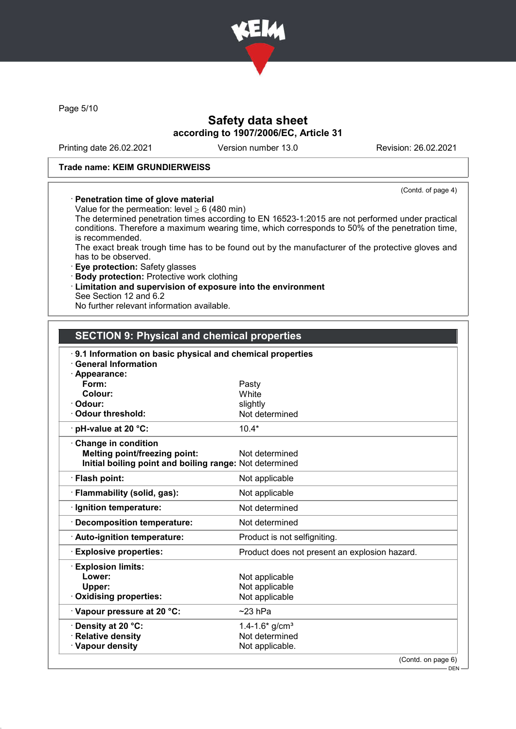

Page 5/10

# Safety data sheet according to 1907/2006/EC, Article 31

Printing date 26.02.2021 Version number 13.0 Revision: 26.02.2021

#### Trade name: KEIM GRUNDIERWEISS

#### (Contd. of page 4)

### · Penetration time of glove material

Value for the permeation: level  $\geq 6$  (480 min)

The determined penetration times according to EN 16523-1:2015 are not performed under practical conditions. Therefore a maximum wearing time, which corresponds to 50% of the penetration time, is recommended.

The exact break trough time has to be found out by the manufacturer of the protective gloves and has to be observed.

· Eye protection: Safety glasses

- · Body protection: Protective work clothing
- · Limitation and supervision of exposure into the environment

See Section 12 and 6.2

No further relevant information available.

### SECTION 9: Physical and chemical properties

| 9.1 Information on basic physical and chemical properties<br><b>General Information</b> |                                               |
|-----------------------------------------------------------------------------------------|-----------------------------------------------|
| · Appearance:                                                                           |                                               |
| Form:                                                                                   | Pasty                                         |
| Colour:                                                                                 | White                                         |
| · Odour:                                                                                | slightly                                      |
| · Odour threshold:                                                                      | Not determined                                |
| $\cdot$ pH-value at 20 $\degree$ C:                                                     | $10.4*$                                       |
| Change in condition                                                                     |                                               |
| <b>Melting point/freezing point:</b>                                                    | Not determined                                |
| Initial boiling point and boiling range: Not determined                                 |                                               |
| · Flash point:                                                                          | Not applicable                                |
| · Flammability (solid, gas):                                                            | Not applicable                                |
| · Ignition temperature:                                                                 | Not determined                                |
| · Decomposition temperature:                                                            | Not determined                                |
| · Auto-ignition temperature:                                                            | Product is not selfigniting.                  |
| <b>Explosive properties:</b>                                                            | Product does not present an explosion hazard. |
| <b>Explosion limits:</b>                                                                |                                               |
| Lower:                                                                                  | Not applicable                                |
| Upper:                                                                                  | Not applicable                                |
| Oxidising properties:                                                                   | Not applicable                                |
| · Vapour pressure at 20 °C:                                                             | $\sim$ 23 hPa                                 |
| · Density at 20 °C:                                                                     | 1.4-1.6* $g/cm^{3}$                           |
| · Relative density                                                                      | Not determined                                |
| · Vapour density                                                                        | Not applicable.                               |
|                                                                                         | (Contd. on page 6)                            |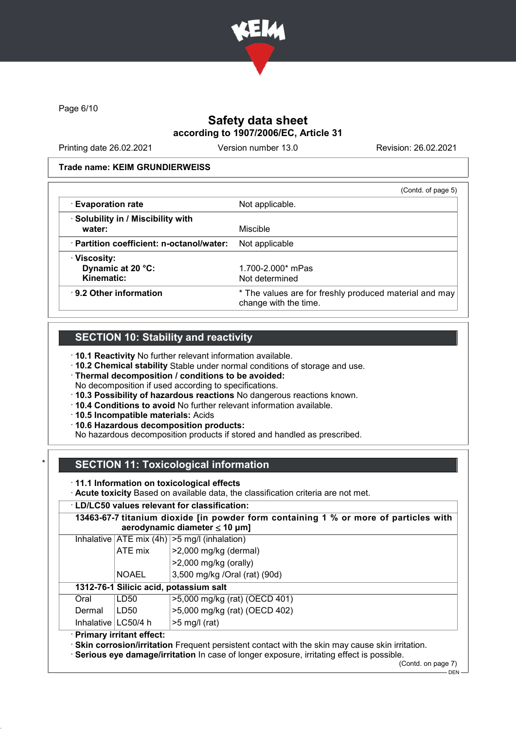

Page 6/10

# Safety data sheet according to 1907/2006/EC, Article 31

Printing date 26.02.2021 Version number 13.0 Revision: 26.02.2021

#### Trade name: KEIM GRUNDIERWEISS

|                                                 | (Contd. of page 5)                                                              |
|-------------------------------------------------|---------------------------------------------------------------------------------|
| · Evaporation rate                              | Not applicable.                                                                 |
| · Solubility in / Miscibility with              |                                                                                 |
| water:                                          | Miscible                                                                        |
| $\cdot$ Partition coefficient: n-octanol/water: | Not applicable                                                                  |
| · Viscosity:                                    |                                                                                 |
| Dynamic at 20 °C:                               | 1.700-2.000* mPas                                                               |
| Kinematic:                                      | Not determined                                                                  |
| $\cdot$ 9.2 Other information                   | * The values are for freshly produced material and may<br>change with the time. |

## SECTION 10: Stability and reactivity

· 10.1 Reactivity No further relevant information available.

· 10.2 Chemical stability Stable under normal conditions of storage and use.

· Thermal decomposition / conditions to be avoided:

No decomposition if used according to specifications.

· 10.3 Possibility of hazardous reactions No dangerous reactions known.

- · 10.4 Conditions to avoid No further relevant information available.
- · 10.5 Incompatible materials: Acids

· 10.6 Hazardous decomposition products:

No hazardous decomposition products if stored and handled as prescribed.

# **SECTION 11: Toxicological information**

#### · 11.1 Information on toxicological effects

· Acute toxicity Based on available data, the classification criteria are not met.

#### · LD/LC50 values relevant for classification:

|                                        | 13463-67-7 titanium dioxide [in powder form containing 1 % or more of particles with<br>aerodynamic diameter $\leq 10$ µm] |                                                                                                  |
|----------------------------------------|----------------------------------------------------------------------------------------------------------------------------|--------------------------------------------------------------------------------------------------|
|                                        |                                                                                                                            | Inhalative $ ATE \text{ mix } (4h)  > 5 \text{ mg/l } (inhalation)$                              |
|                                        | ATE mix                                                                                                                    | $>2,000$ mg/kg (dermal)                                                                          |
|                                        |                                                                                                                            | $>2,000$ mg/kg (orally)                                                                          |
|                                        | <b>NOAEL</b>                                                                                                               | 3,500 mg/kg /Oral (rat) (90d)                                                                    |
| 1312-76-1 Silicic acid, potassium salt |                                                                                                                            |                                                                                                  |
| Oral                                   | LD50                                                                                                                       | >5,000 mg/kg (rat) (OECD 401)                                                                    |
| Dermal                                 | LD50                                                                                                                       | >5,000 mg/kg (rat) (OECD 402)                                                                    |
| Inhalative   LC50/4 h                  |                                                                                                                            | $>5$ mg/l (rat)                                                                                  |
|                                        | · Primary irritant effect:                                                                                                 | · Skin corrosion/irritation Frequent persistent contact with the skin may cause skin irritation. |

· Serious eye damage/irritation In case of longer exposure, irritating effect is possible.

(Contd. on page 7)

 $-$  DEN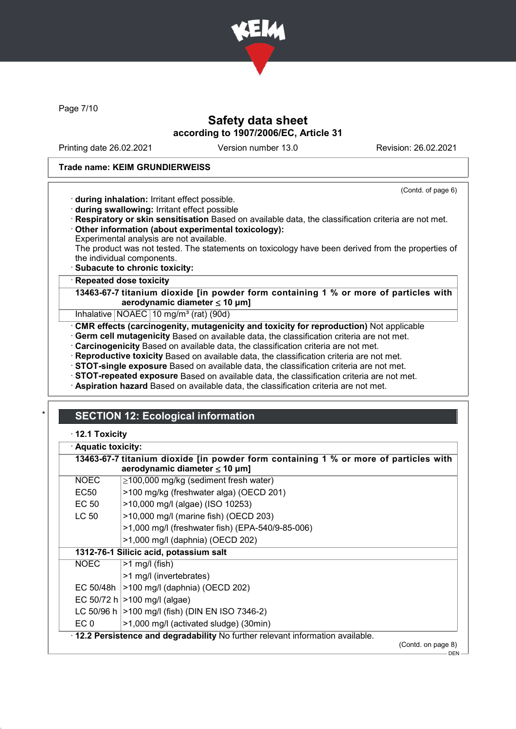

Page 7/10

# Safety data sheet according to 1907/2006/EC, Article 31

Printing date 26.02.2021 Version number 13.0 Revision: 26.02.2021

(Contd. of page 6)

#### Trade name: KEIM GRUNDIERWEISS

· during inhalation: Irritant effect possible.

- · during swallowing: Irritant effect possible
- · Respiratory or skin sensitisation Based on available data, the classification criteria are not met. · Other information (about experimental toxicology):
- Experimental analysis are not available.

The product was not tested. The statements on toxicology have been derived from the properties of the individual components.

· Subacute to chronic toxicity:

· Repeated dose toxicity

13463-67-7 titanium dioxide [in powder form containing 1 % or more of particles with aerodynamic diameter  $\leq 10 \mu m$ ]

Inhalative NOAEC 10 mg/m<sup>3</sup> (rat) (90d)

· CMR effects (carcinogenity, mutagenicity and toxicity for reproduction) Not applicable

· Germ cell mutagenicity Based on available data, the classification criteria are not met.

· Carcinogenicity Based on available data, the classification criteria are not met.

· Reproductive toxicity Based on available data, the classification criteria are not met.

· STOT-single exposure Based on available data, the classification criteria are not met.

· STOT-repeated exposure Based on available data, the classification criteria are not met.

· Aspiration hazard Based on available data, the classification criteria are not met.

# **SECTION 12: Ecological information**

#### · 12.1 Toxicity

| · Aquatic toxicity: |                                                                                                                            |
|---------------------|----------------------------------------------------------------------------------------------------------------------------|
|                     | 13463-67-7 titanium dioxide [in powder form containing 1 % or more of particles with<br>aerodynamic diameter $\leq 10$ µm] |
| <b>NOEC</b>         | ≥100,000 mg/kg (sediment fresh water)                                                                                      |
| EC <sub>50</sub>    | >100 mg/kg (freshwater alga) (OECD 201)                                                                                    |
| EC 50               | >10,000 mg/l (algae) (ISO 10253)                                                                                           |
| LC 50               | >10,000 mg/l (marine fish) (OECD 203)                                                                                      |
|                     | >1,000 mg/l (freshwater fish) (EPA-540/9-85-006)                                                                           |
|                     | $>1,000$ mg/l (daphnia) (OECD 202)                                                                                         |
|                     | 1312-76-1 Silicic acid, potassium salt                                                                                     |
| <b>NOEC</b>         | $>1$ mg/l (fish)                                                                                                           |
|                     | >1 mg/l (invertebrates)                                                                                                    |
|                     | EC 50/48h   > 100 mg/l (daphnia) (OECD 202)                                                                                |
|                     | EC 50/72 h $ >100$ mg/l (algae)                                                                                            |
|                     | LC 50/96 h   > 100 mg/l (fish) (DIN EN ISO 7346-2)                                                                         |
| EC <sub>0</sub>     | >1,000 mg/l (activated sludge) (30min)                                                                                     |
|                     | $\cdot$ 12.2 Persistence and degradability No further relevant information available.                                      |
|                     | (Contd. on page 8)                                                                                                         |

DEN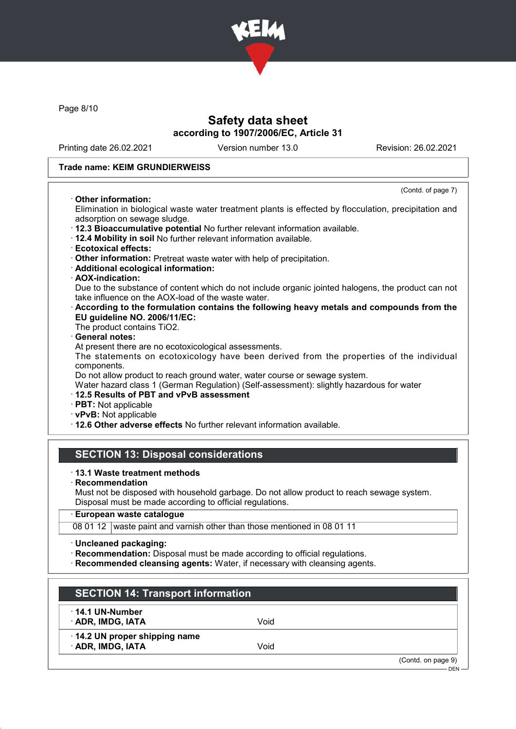

Page 8/10

## Safety data sheet according to 1907/2006/EC, Article 31

Printing date 26.02.2021 Version number 13.0 Revision: 26.02.2021

(Contd. of page 7)

#### Trade name: KEIM GRUNDIERWEISS

#### · Other information:

Elimination in biological waste water treatment plants is effected by flocculation, precipitation and adsorption on sewage sludge.

- · 12.3 Bioaccumulative potential No further relevant information available.
- · 12.4 Mobility in soil No further relevant information available.
- · Ecotoxical effects:
- · Other information: Pretreat waste water with help of precipitation.
- · Additional ecological information:
- · AOX-indication:

Due to the substance of content which do not include organic jointed halogens, the product can not take influence on the AOX-load of the waste water.

### · According to the formulation contains the following heavy metals and compounds from the EU guideline NO. 2006/11/EC:

The product contains TiO2.

#### General notes:

At present there are no ecotoxicological assessments.

The statements on ecotoxicology have been derived from the properties of the individual components.

Do not allow product to reach ground water, water course or sewage system.

Water hazard class 1 (German Regulation) (Self-assessment): slightly hazardous for water

# · 12.5 Results of PBT and vPvB assessment

· PBT: Not applicable

· vPvB: Not applicable

· 12.6 Other adverse effects No further relevant information available.

### SECTION 13: Disposal considerations

#### · 13.1 Waste treatment methods

· Recommendation

Must not be disposed with household garbage. Do not allow product to reach sewage system. Disposal must be made according to official regulations.

### · European waste catalogue

08 01 12 waste paint and varnish other than those mentioned in 08 01 11

- · Uncleaned packaging:
- · Recommendation: Disposal must be made according to official regulations.
- · Recommended cleansing agents: Water, if necessary with cleansing agents.

| $\cdot$ 14.1 UN-Number       |      |  |
|------------------------------|------|--|
| <b>ADR, IMDG, IATA</b>       | Void |  |
| 14.2 UN proper shipping name |      |  |
| · ADR, IMDG, IATA            | Void |  |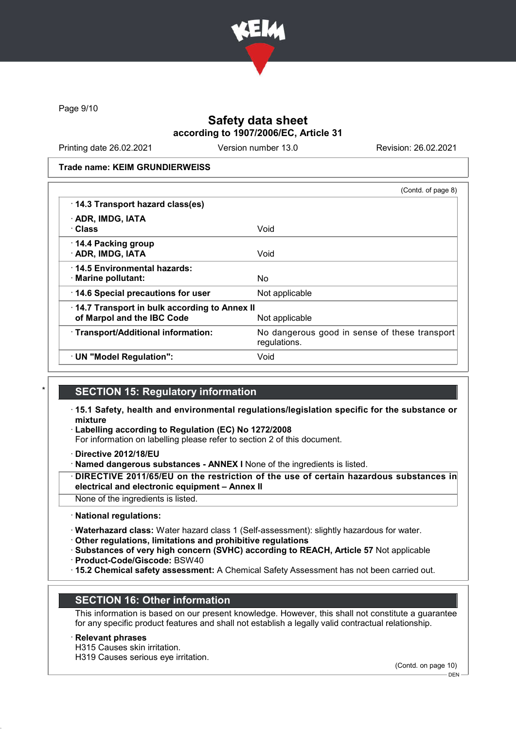

Page 9/10

### Safety data sheet according to 1907/2006/EC, Article 31

Printing date 26.02.2021 Version number 13.0 Revision: 26.02.2021

Trade name: KEIM GRUNDIERWEISS

|                                                                            | (Contd. of page 8)                                            |
|----------------------------------------------------------------------------|---------------------------------------------------------------|
| · 14.3 Transport hazard class(es)                                          |                                                               |
| · ADR, IMDG, IATA<br>· Class                                               | Void                                                          |
| 14.4 Packing group<br>· ADR, IMDG, IATA                                    | Void                                                          |
| 14.5 Environmental hazards:<br>· Marine pollutant:                         | No                                                            |
| 14.6 Special precautions for user                                          | Not applicable                                                |
| 14.7 Transport in bulk according to Annex II<br>of Marpol and the IBC Code | Not applicable                                                |
| · Transport/Additional information:                                        | No dangerous good in sense of these transport<br>regulations. |
| · UN "Model Regulation":                                                   | Void                                                          |

### **SECTION 15: Regulatory information**

- · 15.1 Safety, health and environmental regulations/legislation specific for the substance or mixture
- Labelling according to Regulation (EC) No 1272/2008
- For information on labelling please refer to section 2 of this document.
- · Directive 2012/18/EU
- · Named dangerous substances ANNEX I None of the ingredients is listed.

DIRECTIVE 2011/65/EU on the restriction of the use of certain hazardous substances in electrical and electronic equipment – Annex II

- None of the ingredients is listed.
- · National regulations:
- · Waterhazard class: Water hazard class 1 (Self-assessment): slightly hazardous for water.
- · Other regulations, limitations and prohibitive regulations
- · Substances of very high concern (SVHC) according to REACH, Article 57 Not applicable
- · Product-Code/Giscode: BSW40
- · 15.2 Chemical safety assessment: A Chemical Safety Assessment has not been carried out.

### SECTION 16: Other information

This information is based on our present knowledge. However, this shall not constitute a guarantee for any specific product features and shall not establish a legally valid contractual relationship.

#### **Relevant phrases**

H315 Causes skin irritation.

H319 Causes serious eye irritation.

(Contd. on page 10)

DEN